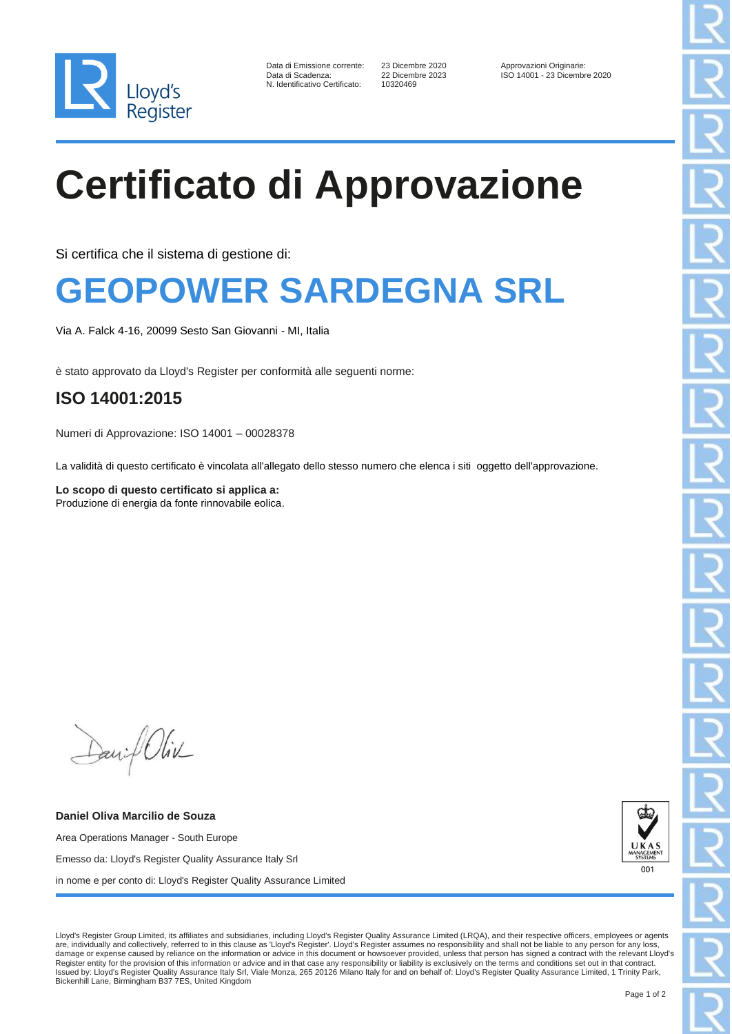

| Data di Emissione corrente:    |
|--------------------------------|
| Data di Scadenza:              |
| N. Identificativo Certificato: |

10320469

23 Dicembre 2020 Approvazioni Originarie:<br>22 Dicembre 2023 Approvazioni Originarie: ISO 14001 - 23 Dicembre 2020

# **Certificato di Approvazione**

Si certifica che il sistema di gestione di:

### **GEOPOWER SARDEGNA SRL**

Via A. Falck 4-16, 20099 Sesto San Giovanni - MI, Italia

è stato approvato da Lloyd's Register per conformità alle seguenti norme:

#### **ISO 14001:2015**

Numeri di Approvazione: ISO 14001 – 00028378

La validità di questo certificato è vincolata all'allegato dello stesso numero che elenca i siti oggetto dell'approvazione.

**Lo scopo di questo certificato si applica a:** Produzione di energia da fonte rinnovabile eolica.

Daniel Oliv

**Daniel Oliva Marcilio de Souza** Area Operations Manager - South Europe Emesso da: Lloyd's Register Quality Assurance Italy Srl in nome e per conto di: Lloyd's Register Quality Assurance Limited



Lloyd's Register Group Limited, its affiliates and subsidiaries, including Lloyd's Register Quality Assurance Limited (LRQA), and their respective officers, employees or agents<br>are, individually and collectively, referred damage or expense caused by reliance on the information or advice in this document or howsoever provided, unless that person has signed a contract with the relevant Lloyd's Register entity for the provision of this information or advice and in that case any responsibility or liability is exclusively on the terms and conditions set out in that contract. Issued by: Lloyd's Register Quality Assurance Italy Srl, Viale Monza, 265 20126 Milano Italy for and on behalf of: Lloyd's Register Quality Assurance Limited, 1 Trinity Park, Bickenhill Lane, Birmingham B37 7ES, United Kingdom